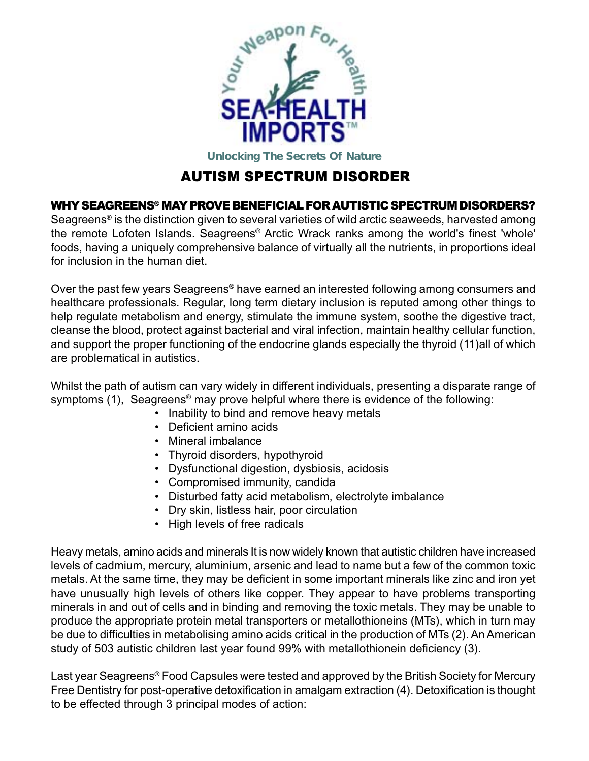

# AUTISM SPECTRUM DISORDER

#### WHY SEAGREENS® MAY PROVE BENEFICIAL FOR AUTISTIC SPECTRUM DISORDERS?

Seagreens<sup>®</sup> is the distinction given to several varieties of wild arctic seaweeds, harvested among the remote Lofoten Islands. Seagreens® Arctic Wrack ranks among the world's finest 'whole' foods, having a uniquely comprehensive balance of virtually all the nutrients, in proportions ideal for inclusion in the human diet.

Over the past few years Seagreens® have earned an interested following among consumers and healthcare professionals. Regular, long term dietary inclusion is reputed among other things to help regulate metabolism and energy, stimulate the immune system, soothe the digestive tract, cleanse the blood, protect against bacterial and viral infection, maintain healthy cellular function, and support the proper functioning of the endocrine glands especially the thyroid (11)all of which are problematical in autistics.

Whilst the path of autism can vary widely in different individuals, presenting a disparate range of symptoms (1), Seagreens<sup>®</sup> may prove helpful where there is evidence of the following:

- Inability to bind and remove heavy metals
- Deficient amino acids
- Mineral imbalance
- Thyroid disorders, hypothyroid
- Dysfunctional digestion, dysbiosis, acidosis
- Compromised immunity, candida
- Disturbed fatty acid metabolism, electrolyte imbalance
- Dry skin, listless hair, poor circulation
- High levels of free radicals

Heavy metals, amino acids and minerals It is now widely known that autistic children have increased levels of cadmium, mercury, aluminium, arsenic and lead to name but a few of the common toxic metals. At the same time, they may be deficient in some important minerals like zinc and iron yet have unusually high levels of others like copper. They appear to have problems transporting minerals in and out of cells and in binding and removing the toxic metals. They may be unable to produce the appropriate protein metal transporters or metallothioneins (MTs), which in turn may be due to difficulties in metabolising amino acids critical in the production of MTs (2). An American study of 503 autistic children last year found 99% with metallothionein deficiency (3).

Last year Seagreens® Food Capsules were tested and approved by the British Society for Mercury Free Dentistry for post-operative detoxification in amalgam extraction (4). Detoxification is thought to be effected through 3 principal modes of action: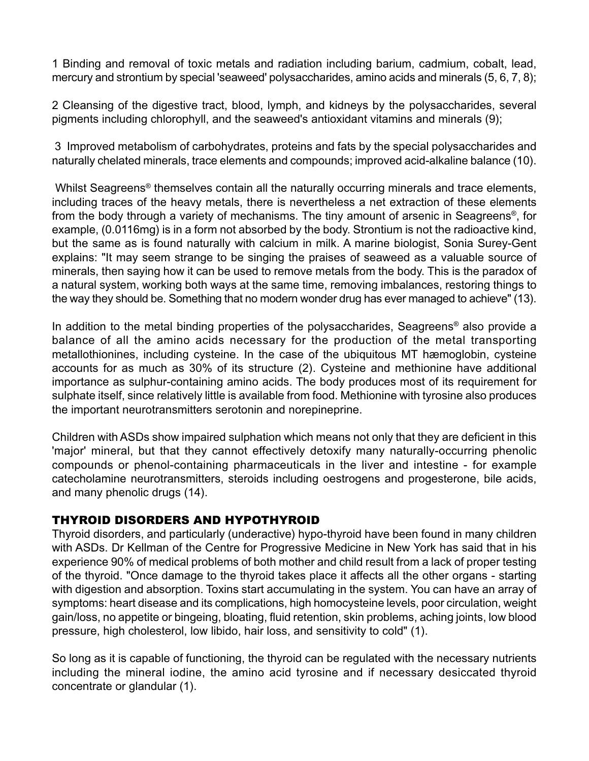1 Binding and removal of toxic metals and radiation including barium, cadmium, cobalt, lead, mercury and strontium by special 'seaweed' polysaccharides, amino acids and minerals (5, 6, 7, 8);

2 Cleansing of the digestive tract, blood, lymph, and kidneys by the polysaccharides, several pigments including chlorophyll, and the seaweed's antioxidant vitamins and minerals (9);

 3 Improved metabolism of carbohydrates, proteins and fats by the special polysaccharides and naturally chelated minerals, trace elements and compounds; improved acid-alkaline balance (10).

 Whilst Seagreens® themselves contain all the naturally occurring minerals and trace elements, including traces of the heavy metals, there is nevertheless a net extraction of these elements from the body through a variety of mechanisms. The tiny amount of arsenic in Seagreens®, for example, (0.0116mg) is in a form not absorbed by the body. Strontium is not the radioactive kind, but the same as is found naturally with calcium in milk. A marine biologist, Sonia Surey-Gent explains: "It may seem strange to be singing the praises of seaweed as a valuable source of minerals, then saying how it can be used to remove metals from the body. This is the paradox of a natural system, working both ways at the same time, removing imbalances, restoring things to the way they should be. Something that no modern wonder drug has ever managed to achieve" (13).

In addition to the metal binding properties of the polysaccharides, Seagreens® also provide a balance of all the amino acids necessary for the production of the metal transporting metallothionines, including cysteine. In the case of the ubiquitous MT hæmoglobin, cysteine accounts for as much as 30% of its structure (2). Cysteine and methionine have additional importance as sulphur-containing amino acids. The body produces most of its requirement for sulphate itself, since relatively little is available from food. Methionine with tyrosine also produces the important neurotransmitters serotonin and norepineprine.

Children with ASDs show impaired sulphation which means not only that they are deficient in this 'major' mineral, but that they cannot effectively detoxify many naturally-occurring phenolic compounds or phenol-containing pharmaceuticals in the liver and intestine - for example catecholamine neurotransmitters, steroids including oestrogens and progesterone, bile acids, and many phenolic drugs (14).

# THYROID DISORDERS AND HYPOTHYROID

Thyroid disorders, and particularly (underactive) hypo-thyroid have been found in many children with ASDs. Dr Kellman of the Centre for Progressive Medicine in New York has said that in his experience 90% of medical problems of both mother and child result from a lack of proper testing of the thyroid. "Once damage to the thyroid takes place it affects all the other organs - starting with digestion and absorption. Toxins start accumulating in the system. You can have an array of symptoms: heart disease and its complications, high homocysteine levels, poor circulation, weight gain/loss, no appetite or bingeing, bloating, fluid retention, skin problems, aching joints, low blood pressure, high cholesterol, low libido, hair loss, and sensitivity to cold" (1).

So long as it is capable of functioning, the thyroid can be regulated with the necessary nutrients including the mineral iodine, the amino acid tyrosine and if necessary desiccated thyroid concentrate or glandular (1).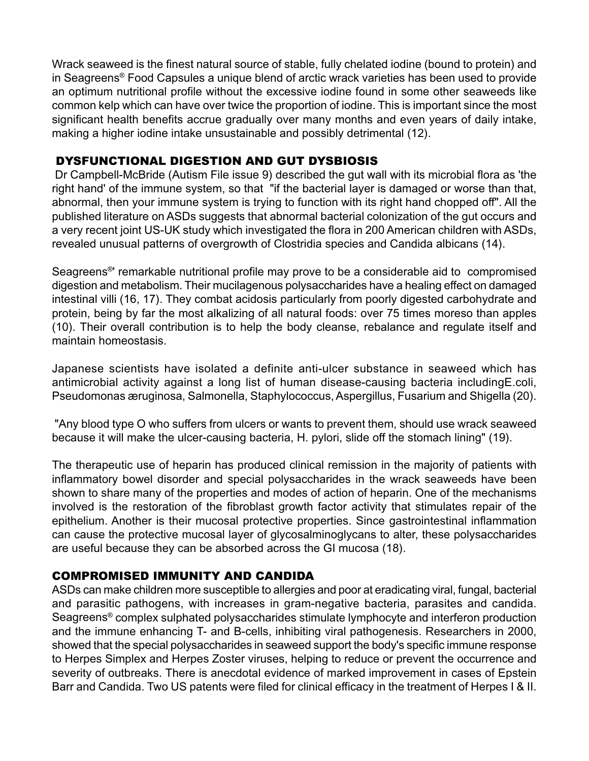Wrack seaweed is the finest natural source of stable, fully chelated iodine (bound to protein) and in Seagreens® Food Capsules a unique blend of arctic wrack varieties has been used to provide an optimum nutritional profile without the excessive iodine found in some other seaweeds like common kelp which can have over twice the proportion of iodine. This is important since the most significant health benefits accrue gradually over many months and even years of daily intake, making a higher iodine intake unsustainable and possibly detrimental (12).

#### DYSFUNCTIONAL DIGESTION AND GUT DYSBIOSIS

 Dr Campbell-McBride (Autism File issue 9) described the gut wall with its microbial flora as 'the right hand' of the immune system, so that "if the bacterial layer is damaged or worse than that, abnormal, then your immune system is trying to function with its right hand chopped off". All the published literature on ASDs suggests that abnormal bacterial colonization of the gut occurs and a very recent joint US-UK study which investigated the flora in 200 American children with ASDs, revealed unusual patterns of overgrowth of Clostridia species and Candida albicans (14).

Seagreens®' remarkable nutritional profile may prove to be a considerable aid to compromised digestion and metabolism. Their mucilagenous polysaccharides have a healing effect on damaged intestinal villi (16, 17). They combat acidosis particularly from poorly digested carbohydrate and protein, being by far the most alkalizing of all natural foods: over 75 times moreso than apples (10). Their overall contribution is to help the body cleanse, rebalance and regulate itself and maintain homeostasis.

Japanese scientists have isolated a definite anti-ulcer substance in seaweed which has antimicrobial activity against a long list of human disease-causing bacteria includingE.coli, Pseudomonas æruginosa, Salmonella, Staphylococcus, Aspergillus, Fusarium and Shigella (20).

 "Any blood type O who suffers from ulcers or wants to prevent them, should use wrack seaweed because it will make the ulcer-causing bacteria, H. pylori, slide off the stomach lining" (19).

The therapeutic use of heparin has produced clinical remission in the majority of patients with inflammatory bowel disorder and special polysaccharides in the wrack seaweeds have been shown to share many of the properties and modes of action of heparin. One of the mechanisms involved is the restoration of the fibroblast growth factor activity that stimulates repair of the epithelium. Another is their mucosal protective properties. Since gastrointestinal inflammation can cause the protective mucosal layer of glycosalminoglycans to alter, these polysaccharides are useful because they can be absorbed across the GI mucosa (18).

#### COMPROMISED IMMUNITY AND CANDIDA

ASDs can make children more susceptible to allergies and poor at eradicating viral, fungal, bacterial and parasitic pathogens, with increases in gram-negative bacteria, parasites and candida. Seagreens® complex sulphated polysaccharides stimulate lymphocyte and interferon production and the immune enhancing T- and B-cells, inhibiting viral pathogenesis. Researchers in 2000, showed that the special polysaccharides in seaweed support the body's specific immune response to Herpes Simplex and Herpes Zoster viruses, helping to reduce or prevent the occurrence and severity of outbreaks. There is anecdotal evidence of marked improvement in cases of Epstein Barr and Candida. Two US patents were filed for clinical efficacy in the treatment of Herpes I & II.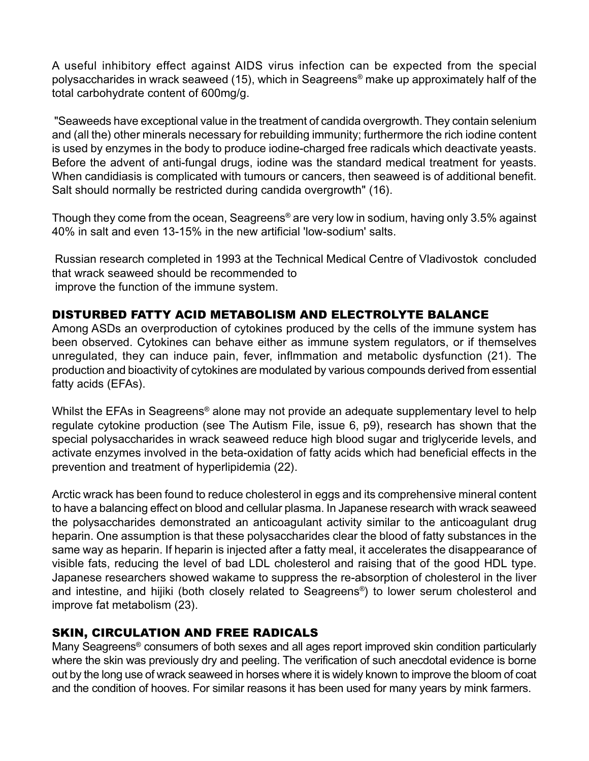A useful inhibitory effect against AIDS virus infection can be expected from the special polysaccharides in wrack seaweed (15), which in Seagreens® make up approximately half of the total carbohydrate content of 600mg/g.

 "Seaweeds have exceptional value in the treatment of candida overgrowth. They contain selenium and (all the) other minerals necessary for rebuilding immunity; furthermore the rich iodine content is used by enzymes in the body to produce iodine-charged free radicals which deactivate yeasts. Before the advent of anti-fungal drugs, iodine was the standard medical treatment for yeasts. When candidiasis is complicated with tumours or cancers, then seaweed is of additional benefit. Salt should normally be restricted during candida overgrowth" (16).

Though they come from the ocean, Seagreens® are very low in sodium, having only 3.5% against 40% in salt and even 13-15% in the new artificial 'low-sodium' salts.

 Russian research completed in 1993 at the Technical Medical Centre of Vladivostok concluded that wrack seaweed should be recommended to improve the function of the immune system.

#### DISTURBED FATTY ACID METABOLISM AND ELECTROLYTE BALANCE

Among ASDs an overproduction of cytokines produced by the cells of the immune system has been observed. Cytokines can behave either as immune system regulators, or if themselves unregulated, they can induce pain, fever, inflmmation and metabolic dysfunction (21). The production and bioactivity of cytokines are modulated by various compounds derived from essential fatty acids (EFAs).

Whilst the EFAs in Seagreens<sup>®</sup> alone may not provide an adequate supplementary level to help regulate cytokine production (see The Autism File, issue 6, p9), research has shown that the special polysaccharides in wrack seaweed reduce high blood sugar and triglyceride levels, and activate enzymes involved in the beta-oxidation of fatty acids which had beneficial effects in the prevention and treatment of hyperlipidemia (22).

Arctic wrack has been found to reduce cholesterol in eggs and its comprehensive mineral content to have a balancing effect on blood and cellular plasma. In Japanese research with wrack seaweed the polysaccharides demonstrated an anticoagulant activity similar to the anticoagulant drug heparin. One assumption is that these polysaccharides clear the blood of fatty substances in the same way as heparin. If heparin is injected after a fatty meal, it accelerates the disappearance of visible fats, reducing the level of bad LDL cholesterol and raising that of the good HDL type. Japanese researchers showed wakame to suppress the re-absorption of cholesterol in the liver and intestine, and hijiki (both closely related to Seagreens®) to lower serum cholesterol and improve fat metabolism (23).

# SKIN, CIRCULATION AND FREE RADICALS

Many Seagreens® consumers of both sexes and all ages report improved skin condition particularly where the skin was previously dry and peeling. The verification of such anecdotal evidence is borne out by the long use of wrack seaweed in horses where it is widely known to improve the bloom of coat and the condition of hooves. For similar reasons it has been used for many years by mink farmers.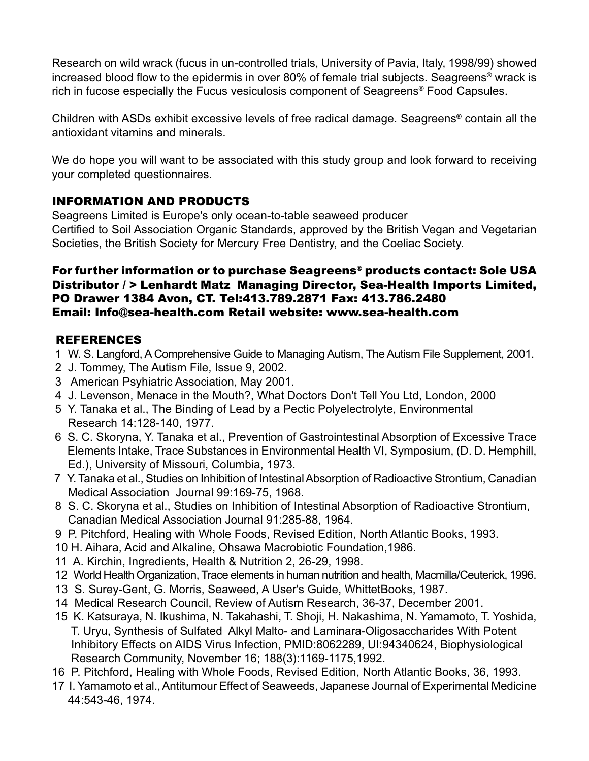Research on wild wrack (fucus in un-controlled trials, University of Pavia, Italy, 1998/99) showed increased blood flow to the epidermis in over 80% of female trial subjects. Seagreens® wrack is rich in fucose especially the Fucus vesiculosis component of Seagreens® Food Capsules.

Children with ASDs exhibit excessive levels of free radical damage. Seagreens® contain all the antioxidant vitamins and minerals.

We do hope you will want to be associated with this study group and look forward to receiving your completed questionnaires.

# INFORMATION AND PRODUCTS

Seagreens Limited is Europe's only ocean-to-table seaweed producer Certified to Soil Association Organic Standards, approved by the British Vegan and Vegetarian Societies, the British Society for Mercury Free Dentistry, and the Coeliac Society.

#### For further information or to purchase Seagreens® products contact: Sole USA Distributor / > Lenhardt Matz Managing Director, Sea-Health Imports Limited, PO Drawer 1384 Avon, CT. Tel:413.789.2871 Fax: 413.786.2480 Email: Info@sea-health.com Retail website: www.sea-health.com

#### REFERENCES

- 1 W. S. Langford, A Comprehensive Guide to Managing Autism, The Autism File Supplement, 2001.
- 2 J. Tommey, The Autism File, Issue 9, 2002.
- 3 American Psyhiatric Association, May 2001.
- 4 J. Levenson, Menace in the Mouth?, What Doctors Don't Tell You Ltd, London, 2000
- 5 Y. Tanaka et al., The Binding of Lead by a Pectic Polyelectrolyte, Environmental Research 14:128-140, 1977.
- 6 S. C. Skoryna, Y. Tanaka et al., Prevention of Gastrointestinal Absorption of Excessive Trace Elements Intake, Trace Substances in Environmental Health VI, Symposium, (D. D. Hemphill, Ed.), University of Missouri, Columbia, 1973.
- 7 Y. Tanaka et al., Studies on Inhibition of Intestinal Absorption of Radioactive Strontium, Canadian Medical Association Journal 99:169-75, 1968.
- 8 S. C. Skoryna et al., Studies on Inhibition of Intestinal Absorption of Radioactive Strontium, Canadian Medical Association Journal 91:285-88, 1964.
- 9 P. Pitchford, Healing with Whole Foods, Revised Edition, North Atlantic Books, 1993.
- 10 H. Aihara, Acid and Alkaline, Ohsawa Macrobiotic Foundation,1986.
- 11 A. Kirchin, Ingredients, Health & Nutrition 2, 26-29, 1998.
- 12 World Health Organization, Trace elements in human nutrition and health, Macmilla/Ceuterick, 1996.
- 13 S. Surey-Gent, G. Morris, Seaweed, A User's Guide, WhittetBooks, 1987.
- 14 Medical Research Council, Review of Autism Research, 36-37, December 2001.
- 15 K. Katsuraya, N. Ikushima, N. Takahashi, T. Shoji, H. Nakashima, N. Yamamoto, T. Yoshida, T. Uryu, Synthesis of Sulfated Alkyl Malto- and Laminara-Oligosaccharides With Potent Inhibitory Effects on AIDS Virus Infection, PMID:8062289, UI:94340624, Biophysiological Research Community, November 16; 188(3):1169-1175,1992.
- 16 P. Pitchford, Healing with Whole Foods, Revised Edition, North Atlantic Books, 36, 1993.
- 17 I. Yamamoto et al., Antitumour Effect of Seaweeds, Japanese Journal of Experimental Medicine 44:543-46, 1974.